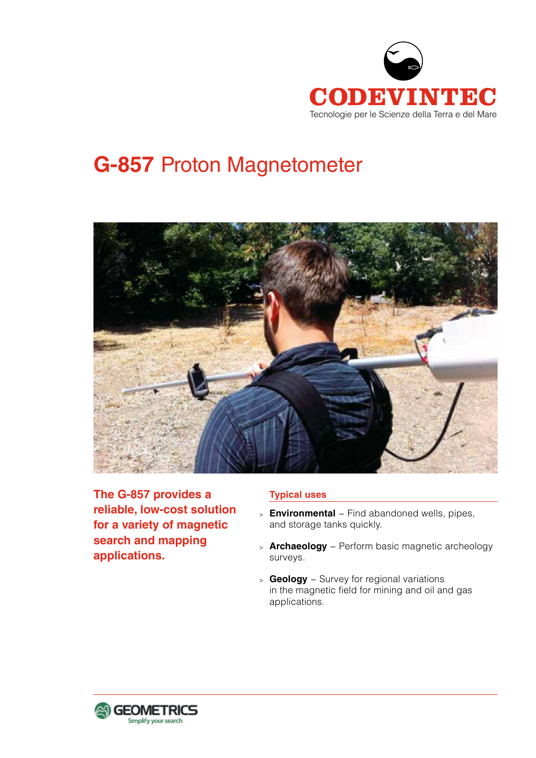

# **G-857** Proton Magnetometer



**The G-857 provides a reliable, low-cost solution for a variety of magnetic search and mapping applications.**

# **Typical uses**

- <sup>&</sup>gt; **Environmental** − Find abandoned wells, pipes, and storage tanks quickly.
- <sup>&</sup>gt; **Archaeology** − Perform basic magnetic archeology surveys.
- <sup>&</sup>gt; **Geology** − Survey for regional variations in the magnetic field for mining and oil and gas applications.

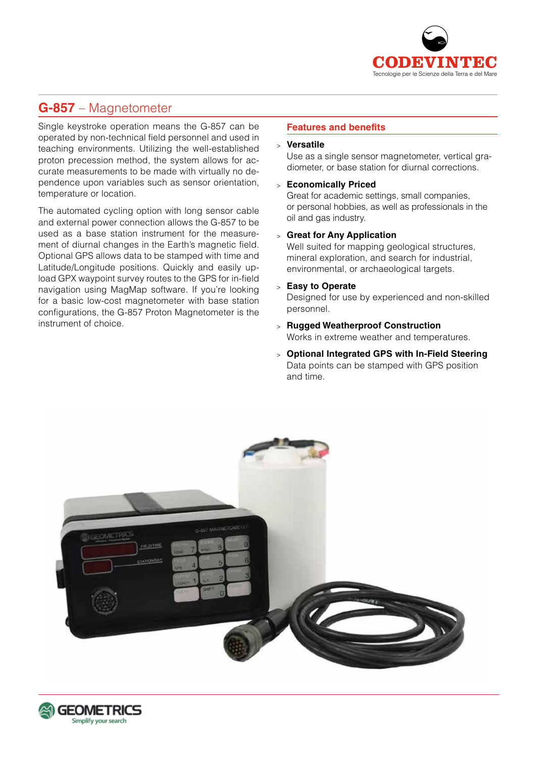

# **G-857** – Magnetometer

Single keystroke operation means the G-857 can be operated by non-technical field personnel and used in teaching environments. Utilizing the well-established proton precession method, the system allows for accurate measurements to be made with virtually no dependence upon variables such as sensor orientation, temperature or location.

The automated cycling option with long sensor cable and external power connection allows the G-857 to be used as a base station instrument for the measurement of diurnal changes in the Earth's magnetic field. Optional GPS allows data to be stamped with time and Latitude/Longitude positions. Quickly and easily upload GPX waypoint survey routes to the GPS for in-field navigation using MagMap software. If you're looking for a basic low-cost magnetometer with base station configurations, the G-857 Proton Magnetometer is the instrument of choice.

#### **Features and benefits**

#### <sup>&</sup>gt; **Versatile**

Use as a single sensor magnetometer, vertical gradiometer, or base station for diurnal corrections.

<sup>&</sup>gt; **Economically Priced**

Great for academic settings, small companies, or personal hobbies, as well as professionals in the oil and gas industry.

<sup>&</sup>gt; **Great for Any Application**

Well suited for mapping geological structures, mineral exploration, and search for industrial, environmental, or archaeological targets.

<sup>&</sup>gt; **Easy to Operate** 

Designed for use by experienced and non-skilled personnel.

- <sup>&</sup>gt; **Rugged Weatherproof Construction**  Works in extreme weather and temperatures.
- <sup>&</sup>gt; **Optional Integrated GPS with In-Field Steering**  Data points can be stamped with GPS position and time.



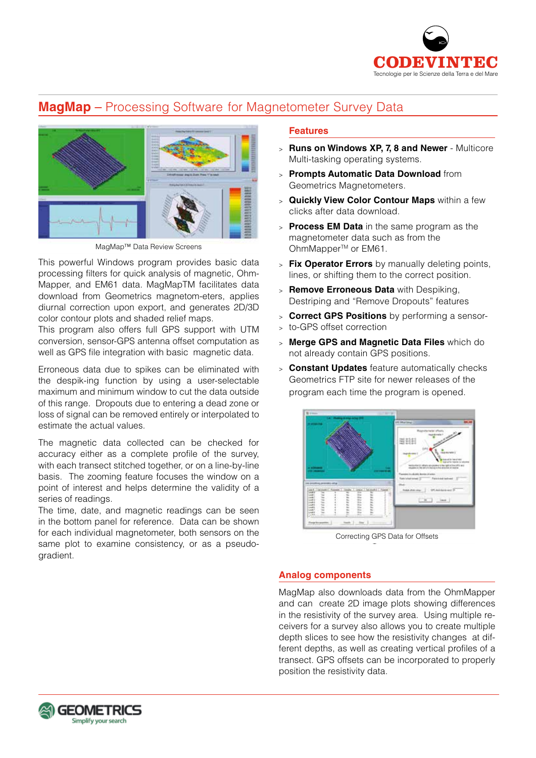

# **MagMap** – Processing Software for Magnetometer Survey Data



MagMap™ Data Review Screens

This powerful Windows program provides basic data processing filters for quick analysis of magnetic, Ohm-Mapper, and EM61 data. MagMapTM facilitates data download from Geometrics magnetom-eters, applies diurnal correction upon export, and generates 2D/3D color contour plots and shaded relief maps.

This program also offers full GPS support with UTM conversion, sensor-GPS antenna offset computation as well as GPS file integration with basic magnetic data.

Erroneous data due to spikes can be eliminated with the despik-ing function by using a user-selectable maximum and minimum window to cut the data outside of this range. Dropouts due to entering a dead zone or loss of signal can be removed entirely or interpolated to estimate the actual values.

The magnetic data collected can be checked for accuracy either as a complete profile of the survey, with each transect stitched together, or on a line-by-line basis. The zooming feature focuses the window on a point of interest and helps determine the validity of a series of readings.

The time, date, and magnetic readings can be seen in the bottom panel for reference. Data can be shown for each individual magnetometer, both sensors on the same plot to examine consistency, or as a pseudogradient.

## **Features**

- <sup>&</sup>gt; **Runs on Windows XP, 7, 8 and Newer** Multicore Multi-tasking operating systems.
- <sup>&</sup>gt; **Prompts Automatic Data Download** from Geometrics Magnetometers.
- <sup>&</sup>gt; **Quickly View Color Contour Maps** within a few clicks after data download.
- <sup>&</sup>gt; **Process EM Data** in the same program as the magnetometer data such as from the OhmMapper<sup>™</sup> or EM61.
- <sup>&</sup>gt; **Fix Operator Errors** by manually deleting points, lines, or shifting them to the correct position.
- <sup>&</sup>gt; **Remove Erroneous Data** with Despiking, Destriping and "Remove Dropouts" features
- <sup>&</sup>gt; **Correct GPS Positions** by performing a sensor-
- <sup>&</sup>gt; to-GPS offset correction
- <sup>&</sup>gt; **Merge GPS and Magnetic Data Files** which do not already contain GPS positions.
- <sup>&</sup>gt; **Constant Updates** feature automatically checks Geometrics FTP site for newer releases of the program each time the program is opened.



Correcting GPS Data for Offsets

#### **Analog components**

MagMap also downloads data from the OhmMapper and can create 2D image plots showing differences in the resistivity of the survey area. Using multiple receivers for a survey also allows you to create multiple depth slices to see how the resistivity changes at different depths, as well as creating vertical profiles of a transect. GPS offsets can be incorporated to properly position the resistivity data.